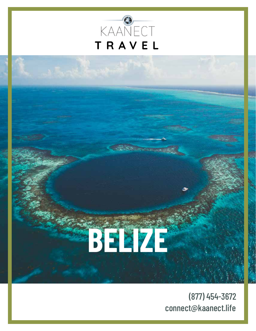

# **BELIZE**

(877) 454-3672 connect@kaanect.life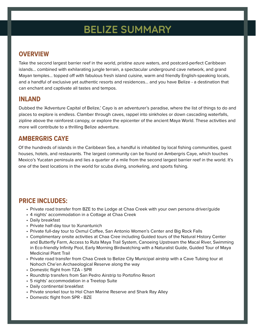## **BELIZE SUMMARY**

#### **OVERVIEW**

Take the second largest barrier reef in the world, pristine azure waters, and postcard-perfect Caribbean islands... combined with exhilarating jungle terrain, a spectacular underground cave network, and grand Mayan temples... topped off with fabulous fresh island cuisine, warm and friendly English-speaking locals, and a handful of exclusive yet authentic resorts and residences... and you have Belize - a destination that can enchant and captivate all tastes and tempos.

#### **INLAND**

Dubbed the 'Adventure Capital of Belize,' Cayo is an adventurer's paradise, where the list of things to do and places to explore is endless. Clamber through caves, rappel into sinkholes or down cascading waterfalls, zipline above the rainforest canopy, or explore the epicenter of the ancient Maya World. These activities and more will contribute to a thrilling Belize adventure.

#### **AMBERGRIS CAYE**

Of the hundreds of islands in the Caribbean Sea, a handful is inhabited by local fishing communities, guest houses, hotels, and restaurants. The largest community can be found on Ambergris Caye, which touches Mexico's Yucatan peninsula and lies a quarter of a mile from the second largest barrier reef in the world. It's one of the best locations in the world for scuba diving, snorkeling, and sports fishing.

#### **PRICE INCLUDES:**

- Private road transfer from BZE to the Lodge at Chaa Creek with your own persona driver/guide
- 4 nights' accommodation in a Cottage at Chaa Creek
- Daily breakfast
- Private half-day tour to Xunantunich
- Private full-day tour to Oxmul Coffee, San Antonio Women's Center and Big Rock Falls
- Complimentary onsite activities at Chaa Cree including Guided tours of the Natural History Center and Butterfly Farm, Access to Ruta Maya Trail System, Canoeing Upstream the Macal River, Swimming in Eco-friendly Infinity Pool, Early Morning Birdwatching with a Naturalist Guide, Guided Tour of Maya Medicinal Plant Trail
- Private road transfer from Chaa Creek to Belize City Municipal airstrip with a Cave Tubing tour at Nohoch Che'en Archaeological Reserve along the way
- Domestic flight from TZA SPR
- Roundtrip transfers from San Pedro Airstrip to Portofino Resort
- 5 nights' accommodation in a Treetop Suite
- Daily continental breakfast
- Private snorkel tour to Hol Chan Marine Reserve and Shark Ray Alley
- Domestic flight from SPR BZE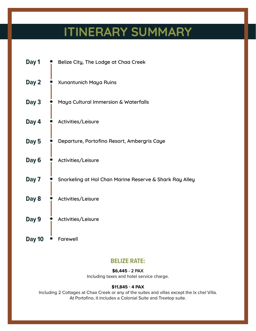# **ITINERARY SUMMARY**

| Day 1         | Belize City, The Lodge at Chaa Creek                    |
|---------------|---------------------------------------------------------|
| Day 2         | <b>Xunantunich Maya Ruins</b>                           |
| Day 3         | Maya Cultural Immersion & Waterfalls                    |
| Day 4         | Activities/Leisure                                      |
| Day 5         | Departure, Portofino Resort, Ambergris Caye             |
| Day 6         | Activities/Leisure                                      |
| Day 7         | Snorkeling at Hol Chan Marine Reserve & Shark Ray Alley |
| Day 8         | Activities/Leisure                                      |
| Day 9         | Activities/Leisure                                      |
| <b>Day 10</b> | <b>Farewell</b>                                         |

#### **BELIZE RATE:**

#### **\$6,445 - 2 PAX**

Including taxes and hotel service charge.

#### **\$11,845 - 4 PAX**

Including 2 Cottages at Chaa Creek or any of the suites and villas except the Ix chel Villa. At Portofino, it includes a Colonial Suite and Treetop suite.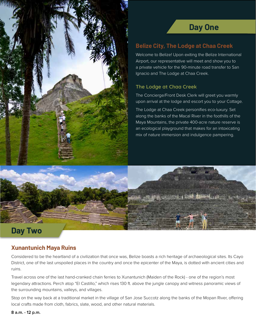

#### **Belize City, The Lodge at Chaa Creek**

Welcome to Belize! Upon exiting the Belize International Airport, our representative will meet and show you to a private vehicle for the 90-minute road transfer to San Ignacio and The Lodge at Chaa Creek.

#### **The Lodge at Chaa Creek**

The Concierge/Front Desk Clerk will greet you warmly upon arrival at the lodge and escort you to your Cottage.

The Lodge at Chaa Creek personifies eco-luxury. Set along the banks of the Macal River in the foothills of the Maya Mountains, the private 400-acre nature reserve is an ecological playground that makes for an intoxicating mix of nature immersion and indulgence pampering.

## **Day Two**

#### **Xunantunich Maya Ruins**

Considered to be the heartland of a civilization that once was, Belize boasts a rich heritage of archaeological sites. Its Cayo District, one of the last unspoiled places in the country and once the epicenter of the Maya, is dotted with ancient cities and ruins.

Travel across one of the last hand-cranked chain ferries to Xunantunich (Maiden of the Rock) - one of the region's most legendary attractions. Perch atop "El Castillo," which rises 130 ft. above the jungle canopy and witness panoramic views of the surrounding mountains, valleys, and villages.

Stop on the way back at a traditional market in the village of San Jose Succotz along the banks of the Mopan River, offering local crafts made from cloth, fabrics, slate, wood, and other natural materials.

**8 a.m. - 12 p.m.**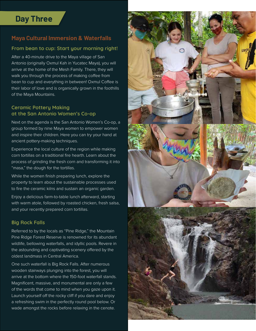## **Day Three**

#### **Maya Cultural Immersion & Waterfalls**

#### **From bean to cup: Start your morning right!**

After a 40-minute drive to the Maya village of San Antonio (originally Oxmul Kah in Yucatec Maya), you will arrive at the home of the Mesh Family. There, they will walk you through the process of making coffee from bean to cup and everything in between! Oxmul Coffee is their labor of love and is organically grown in the foothills of the Maya Mountains.

#### **Ceramic Pottery Making at the San Antonio Women's Co-op**

Next on the agenda is the San Antonio Women's Co-op, a group formed by nine Maya women to empower women and inspire their children. Here you can try your hand at ancient pottery-making techniques.

Experience the local culture of the region while making corn tortillas on a traditional fire hearth. Learn about the process of grinding the fresh corn and transforming it into "masa," the dough for the tortillas.

While the women finish preparing lunch, explore the property to learn about the sustainable processes used to fire the ceramic kilns and sustain an organic garden.

Enjoy a delicious farm-to-table lunch afterward, starting with warm atole, followed by roasted chicken, fresh salsa, and your recently prepared corn tortillas.

#### **Big Rock Falls**

Referred to by the locals as "Pine Ridge," the Mountain Pine Ridge Forest Reserve is renowned for its abundant wildlife, bellowing waterfalls, and idyllic pools. Revere in the astounding and captivating scenery offered by the oldest landmass in Central America.

One such waterfall is Big Rock Falls. After numerous wooden stairways plunging into the forest, you will arrive at the bottom where the 150-foot waterfall stands. Magnificent, massive, and monumental are only a few of the words that come to mind when you gaze upon it. Launch yourself off the rocky cliff if you dare and enjoy a refreshing swim in the perfectly round pool below. Or wade amongst the rocks before relaxing in the cenote.

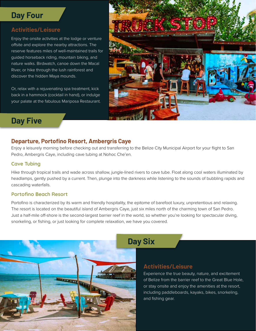## **Day Four**

### **Activities/Leisure**

Enjoy the onsite activities at the lodge or venture offsite and explore the nearby attractions. The reserve features miles of well-maintained trails for guided horseback riding, mountain biking, and nature walks. Birdwatch, canoe down the Macal River, or hike through the lush rainforest and discover the hidden Maya mounds.

Or, relax with a rejuvenating spa treatment, kick back in a hammock (cocktail in hand), or indulge your palate at the fabulous Mariposa Restaurant.



## **Day Five**

#### **Departure, Portofino Resort, Ambergris Caye**

Enjoy a leisurely morning before checking out and transferring to the Belize City Municipal Airport for your flight to San Pedro, Ambergris Caye, including cave tubing at Nohoc Che'en.

#### **Cave Tubing**

Hike through tropical trails and wade across shallow, jungle-lined rivers to cave tube. Float along cool waters illuminated by headlamps, gently pushed by a current. Then, plunge into the darkness while listening to the sounds of bubbling rapids and cascading waterfalls.

#### **Portofino Beach Resort**

Portofino is characterized by its warm and friendly hospitality, the epitome of barefoot luxury, unpretentious and relaxing. The resort is located on the beautiful island of Ambergris Caye, just six miles north of the charming town of San Pedro. Just a half-mile off-shore is the second-largest barrier reef in the world, so whether you're looking for spectacular diving, snorkeling, or fishing, or just looking for complete relaxation, we have you covered.



## **Day Six**

#### **Activities/Leisure**

Experience the true beauty, nature, and excitement of Belize from the barrier reef to the Great Blue Hole, or stay onsite and enjoy the amenities at the resort, including paddleboards, kayaks, bikes, snorkeling, and fishing gear.